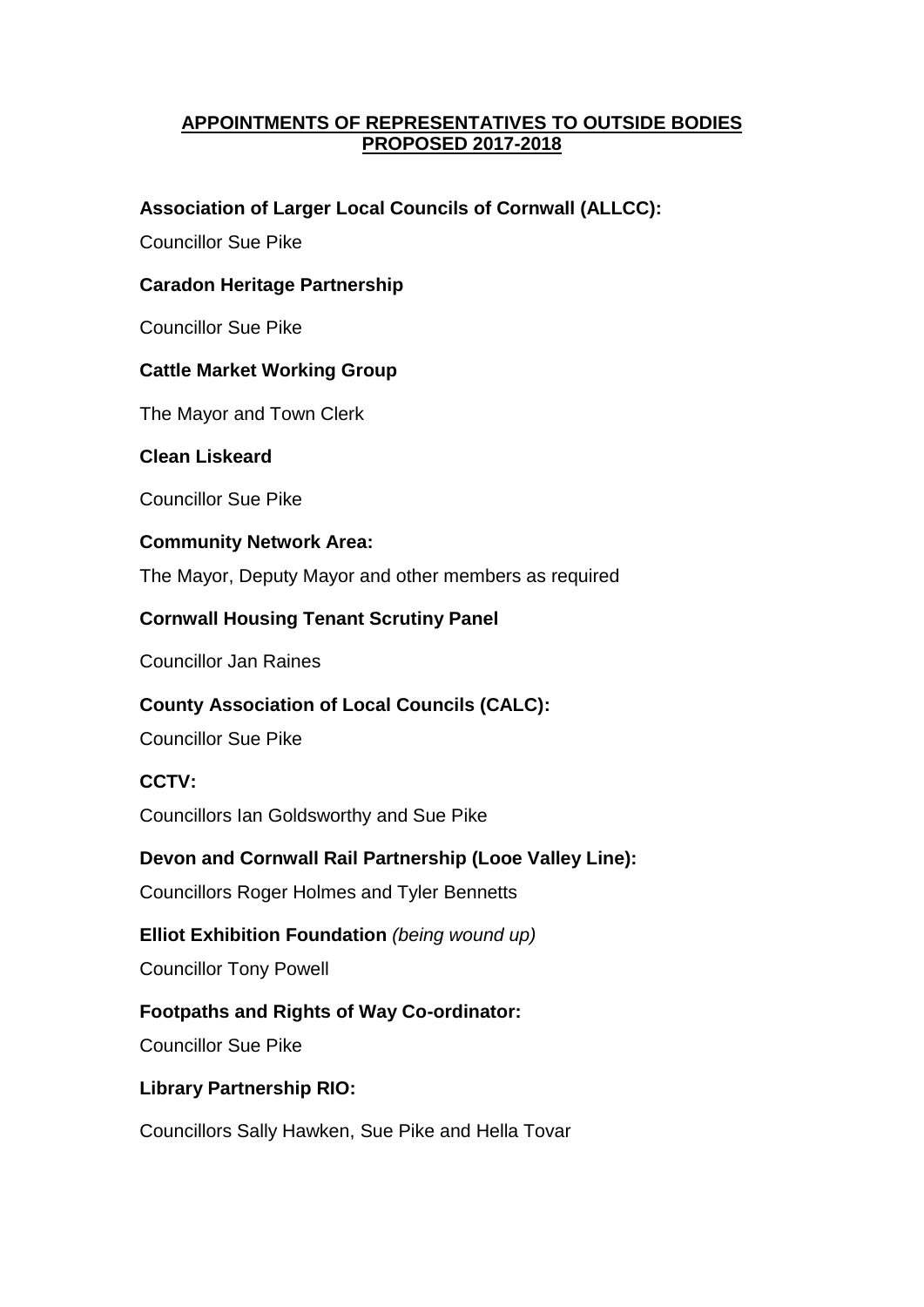## **APPOINTMENTS OF REPRESENTATIVES TO OUTSIDE BODIES PROPOSED 2017-2018**

## **Association of Larger Local Councils of Cornwall (ALLCC):**

Councillor Sue Pike

## **Caradon Heritage Partnership**

Councillor Sue Pike

## **Cattle Market Working Group**

The Mayor and Town Clerk

### **Clean Liskeard**

Councillor Sue Pike

#### **Community Network Area:**

The Mayor, Deputy Mayor and other members as required

## **Cornwall Housing Tenant Scrutiny Panel**

Councillor Jan Raines

### **County Association of Local Councils (CALC):**

Councillor Sue Pike

### **CCTV:**

Councillors Ian Goldsworthy and Sue Pike

### **Devon and Cornwall Rail Partnership (Looe Valley Line):**

Councillors Roger Holmes and Tyler Bennetts

# **Elliot Exhibition Foundation** *(being wound up)*

Councillor Tony Powell

# **Footpaths and Rights of Way Co-ordinator:**

Councillor Sue Pike

### **Library Partnership RIO:**

Councillors Sally Hawken, Sue Pike and Hella Tovar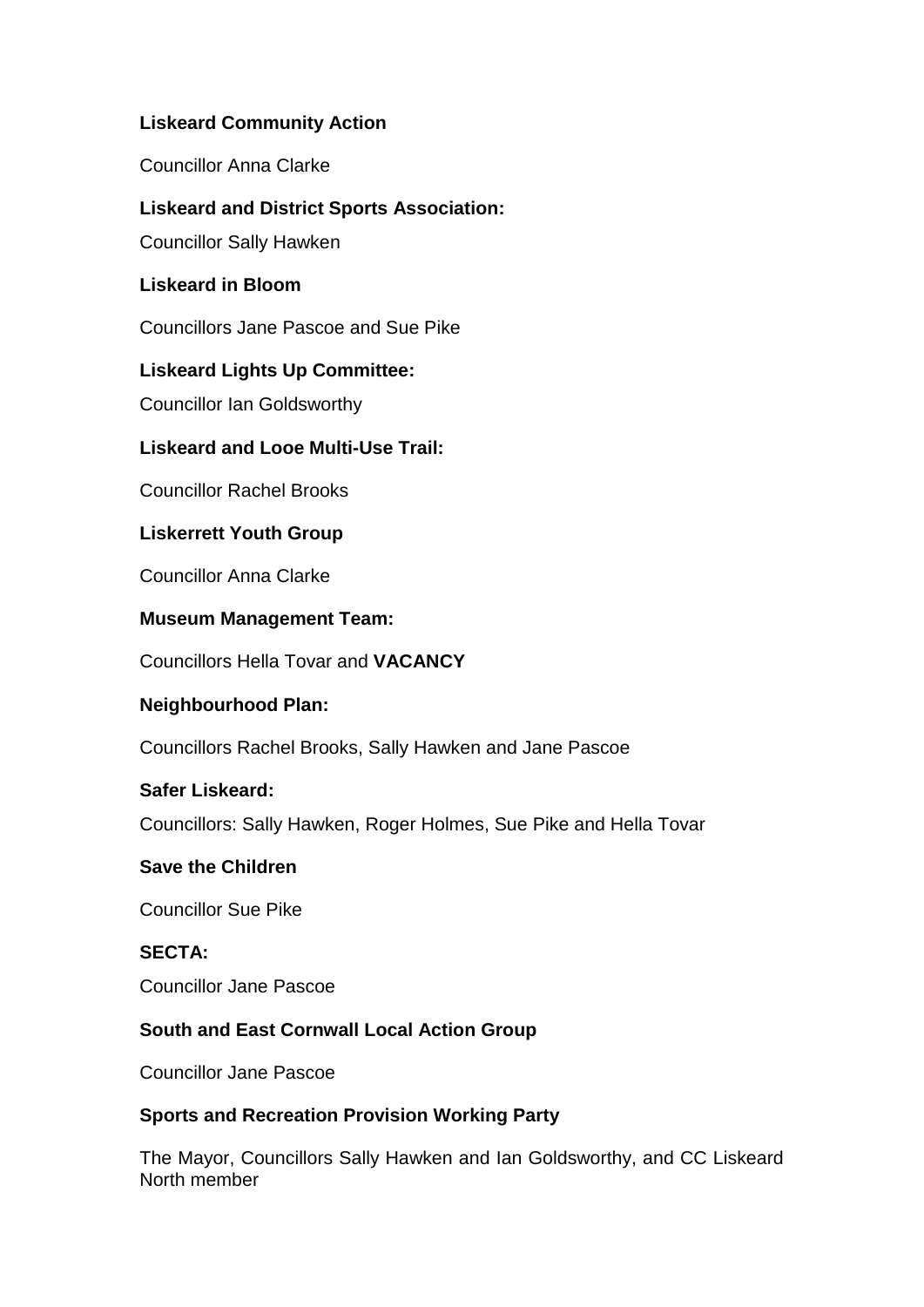# **Liskeard Community Action**

Councillor Anna Clarke

# **Liskeard and District Sports Association:**

Councillor Sally Hawken

# **Liskeard in Bloom**

Councillors Jane Pascoe and Sue Pike

# **Liskeard Lights Up Committee:**

Councillor Ian Goldsworthy

# **Liskeard and Looe Multi-Use Trail:**

Councillor Rachel Brooks

# **Liskerrett Youth Group**

Councillor Anna Clarke

# **Museum Management Team:**

Councillors Hella Tovar and **VACANCY**

# **Neighbourhood Plan:**

Councillors Rachel Brooks, Sally Hawken and Jane Pascoe

# **Safer Liskeard:**

Councillors: Sally Hawken, Roger Holmes, Sue Pike and Hella Tovar

# **Save the Children**

Councillor Sue Pike

# **SECTA:**

Councillor Jane Pascoe

# **South and East Cornwall Local Action Group**

Councillor Jane Pascoe

# **Sports and Recreation Provision Working Party**

The Mayor, Councillors Sally Hawken and Ian Goldsworthy, and CC Liskeard North member